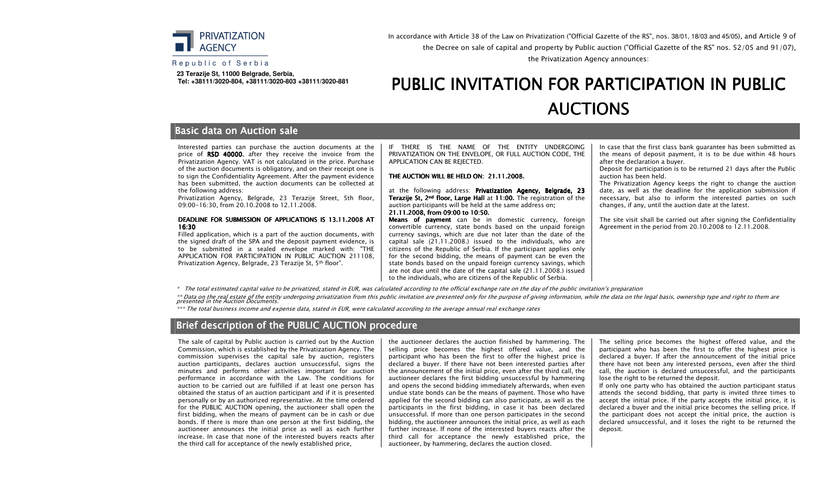

In accordance with Article 38 of the Law on Privatization ("Official Gazette of the RS", nos. 38/01, 18/03 and 45/05), and Article 9 of the Decree on sale of capital and property by Public auction ("Official Gazette of the RS" nos. 52/05 and 91/07),the Privatization Agency announces:

#### Republic of Serbia

 **23 Terazije St, 11000 Belgrade, Serbia, Tel: +38111/3020-804, +38111/3020-803 +38111/3020-881**

# PUBLIC INVITATION FOR PARTICIPATION IN PUBLIC **AUCTIONS**

### **Basic data on Auction sale**

Interested parties can purchase the auction documents at the price of  $RSD$  40000, after they receive the invoice from the Privatization Agency. VAT is not calculated in the price. Purchase of the auction documents is obligatory, and on their receipt one is to sign the Confidentiality Agreement. After the payment evidence has been submitted, the auction documents can be collected at the following address:

 Privatization Agency, Belgrade, 23 Terazije Street, 5th floor, 09:00-16:30, from 20.10.2008 to 12.11.2008.

#### DEADLINE FOR SUBMISSION OF APPLICATIONS IS 13.11.2008 AT<br>16.38. 16:30

 Filled application, which is a part of the auction documents, with the signed draft of the SPA and the deposit payment evidence, is to be submitted in a sealed envelope marked with: "THE APPLICATION FOR PARTICIPATION IN PUBLIC AUCTION 211108, Privatization Agency, Belgrade, 23 Terazije St, 5th floor".

IF THERE IS THE NAME OF THE ENTITY UNDERGOING PRIVATIZATION ON THE ENVELOPE, OR FULL AUCTION CODE, THE APPLICATION CAN BE REJECTED.

#### THE AUCTION WILL BE HELD ON:  $21.11.2008$ .

at the following address: **Privatization Agency, Belgrade, 23 Terazije St, 2nd floor, Large Hall** at 11:00. The registration of the auction participants will be held at the same address on:

21.11.2008, from 09:00 to 10:50.<br>Means, of payment, can be in **Means of payment** can be in domestic currency, foreign convertible currency, state bonds based on the unpaid foreign currency savings, which are due not later than the date of the capital sale (21.11.2008.) issued to the individuals, who are citizens of the Republic of Serbia. If the participant applies only for the second bidding, the means of payment can be even the state bonds based on the unpaid foreign currency savings, which are not due until the date of the capital sale (21.11.2008.) issued to the individuals, who are citizens of the Republic of Serbia.

In case that the first class bank guarantee has been submitted as the means of deposit payment, it is to be due within 48 hours after the declaration a buyer.

 Deposit for participation is to be returned 21 days after the Public auction has been held.

 The Privatization Agency keeps the right to change the auction date, as well as the deadline for the application submission if necessary, but also to inform the interested parties on such changes, if any, until the auction date at the latest.

The site visit shall be carried out after signing the Confidentiality Agreement in the period from 20.10.2008 to 12.11.2008.

\* The total estimated capital value to be privatized, stated in EUR, was calculated according to the official exchange rate on the day of the public invitation's preparation

\*\* Data on the real estate of the entity undergoing privatization from this public invitation are presented only for the purpose of giving information, while the data on the legal basis, ownership type and right to them ar

\*\*\* The total business income and expense data, stated in EUR, were calculated according to the average annual real exchange rates

### Brief description of the PUBLIC AUCTION procedure

The sale of capital by Public auction is carried out by the Auction Commission, which is established by the Privatization Agency. The commission supervises the capital sale by auction, registers auction participants, declares auction unsuccessful, signs the minutes and performs other activities important for auction performance in accordance with the Law. The conditions for auction to be carried out are fulfilled if at least one person has obtained the status of an auction participant and if it is presented personally or by an authorized representative. At the time ordered for the PUBLIC AUCTION opening, the auctioneer shall open the first bidding, when the means of payment can be in cash or due bonds. If there is more than one person at the first bidding, the auctioneer announces the initial price as well as each further increase. In case that none of the interested buyers reacts after the third call for acceptance of the newly established price,

the auctioneer declares the auction finished by hammering. The selling price becomes the highest offered value, and the participant who has been the first to offer the highest price is declared a buyer. If there have not been interested parties after the announcement of the initial price, even after the third call, the auctioneer declares the first bidding unsuccessful by hammering and opens the second bidding immediately afterwards, when even undue state bonds can be the means of payment. Those who have applied for the second bidding can also participate, as well as the participants in the first bidding, in case it has been declared unsuccessful. If more than one person participates in the second bidding, the auctioneer announces the initial price, as well as each further increase. If none of the interested buyers reacts after the third call for acceptance the newly established price, the auctioneer, by hammering, declares the auction closed.

The selling price becomes the highest offered value, and the participant who has been the first to offer the highest price is declared a buyer. If after the announcement of the initial price there have not been any interested persons, even after the third call, the auction is declared unsuccessful, and the participants lose the right to be returned the deposit.

 If only one party who has obtained the auction participant status attends the second bidding, that party is invited three times to accept the initial price. If the party accepts the initial price, it is declared a buyer and the initial price becomes the selling price. If the participant does not accept the initial price, the auction is declared unsuccessful, and it loses the right to be returned the deposit.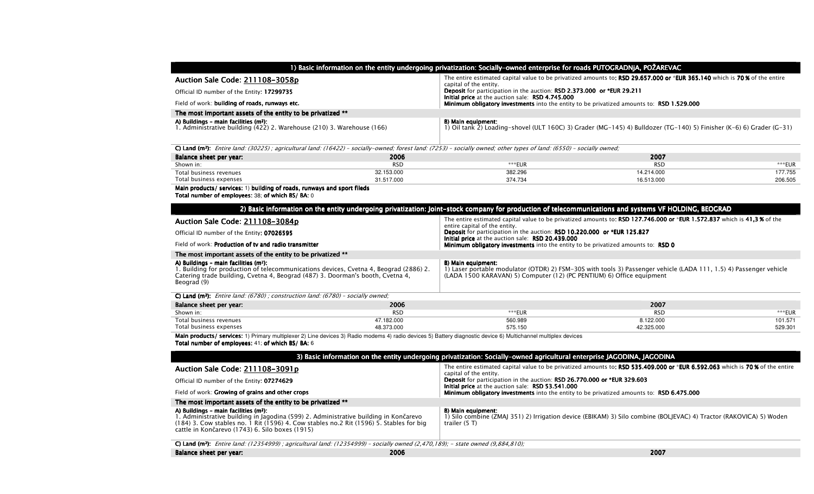| 1) Basic information on the entity undergoing privatization: Socially-owned enterprise for roads PUTOGRADNjA, POŽAREVAC     |                                                                                                                                                     |  |  |
|-----------------------------------------------------------------------------------------------------------------------------|-----------------------------------------------------------------------------------------------------------------------------------------------------|--|--|
| Auction Sale Code: 211108-3058p                                                                                             | The entire estimated capital value to be privatized amounts to: RSD 29.657.000 or *EUR 365.140 which is 70% of the entire<br>capital of the entity. |  |  |
| Official ID number of the Entity: 17299735                                                                                  | Deposit for participation in the auction: RSD 2.373.000 or *EUR 29.211<br>Initial price at the auction sale: RSD 4.745.000                          |  |  |
| Field of work: building of roads, runways etc.                                                                              | Minimum obligatory investments into the entity to be privatized amounts to: RSD 1.529.000                                                           |  |  |
| The most important assets of the entity to be privatized **                                                                 |                                                                                                                                                     |  |  |
| A) Buildings - main facilities (m <sup>2</sup> ):<br>1. Administrative building (422) 2. Warehouse (210) 3. Warehouse (166) | B) Main equipment:<br>1) Oil tank 2) Loading-shovel (ULT 160C) 3) Grader (MG-145) 4) Bulldozer (TG-140) 5) Finisher (K-6) 6) Grader (G-31)          |  |  |

**C) Land (m²):** Entire land: (30225) ; agricultural land: (16422) – socially-owned; forest land: (7253) – socially owned; other types of land: (6550) – socially owned;

| Balance sheet per year: | 2006       |         | 2007       |         |
|-------------------------|------------|---------|------------|---------|
| Shown in:               | <b>RSD</b> | ***EUR  | <b>RSD</b> | ***ELID |
| Total business revenues | 32.153.000 | 382.296 | 14.214.000 | 77.755  |
| Total business expenses | 31.517.000 | 374.734 | 16.513.000 | 206.505 |

Main products/ services: 1) building of roads, runways and sport fileds

Total number of employees:  $38$ ; of which BS/ BA:  $0$ 

| 2) Basic information on the entity undergoing privatization: Joint-stock company for production of telecommunications and systems VF HOLDING, BEOGRAD                                                                                       |                                                                                                                                                                                                                   |            |         |  |  |
|---------------------------------------------------------------------------------------------------------------------------------------------------------------------------------------------------------------------------------------------|-------------------------------------------------------------------------------------------------------------------------------------------------------------------------------------------------------------------|------------|---------|--|--|
| Auction Sale Code: 211108-3084p                                                                                                                                                                                                             | The entire estimated capital value to be privatized amounts to: RSD 127.746.000 or *EUR 1.572.837 which is 41,3 % of the<br>entire capital of the entity.                                                         |            |         |  |  |
| Official ID number of the Entity: 07026595                                                                                                                                                                                                  | Deposit for participation in the auction: RSD 10.220.000 or *EUR 125.827                                                                                                                                          |            |         |  |  |
| Field of work: <b>Production of tv and radio transmitter</b>                                                                                                                                                                                | Initial price at the auction sale: RSD 20.439.000<br><b>Minimum obligatory investments</b> into the entity to be privatized amounts to: RSD 0                                                                     |            |         |  |  |
| The most important assets of the entity to be privatized **                                                                                                                                                                                 |                                                                                                                                                                                                                   |            |         |  |  |
| A) Buildings - main facilities (m <sup>2</sup> ):<br>1. Building for production of telecommunications devices, Cvetna 4, Beograd (2886) 2.<br>Catering trade building, Cvetna 4, Beograd (487) 3. Doorman's booth, Cvetna 4,<br>Beograd (9) | B) Main equipment:<br>1) Laser portable modulator (OTDR) 2) FSM-30S with tools 3) Passenger vehicle (LADA 111, 1.5) 4) Passenger vehicle<br>(LADA 1500 KARAVAN) 5) Computer (12) (PC PENTIUM) 6) Office equipment |            |         |  |  |
| C) Land (m <sup>2</sup> ): <i>Entire land: (6780); construction land: (6780) - socially owned;</i>                                                                                                                                          |                                                                                                                                                                                                                   |            |         |  |  |
| 2006<br>Balance sheet per year:                                                                                                                                                                                                             |                                                                                                                                                                                                                   | 2007       |         |  |  |
| <b>RSD</b><br>Shown in:                                                                                                                                                                                                                     | ***EUR                                                                                                                                                                                                            | <b>RSD</b> | ***EUR  |  |  |
| 47.182.000<br>Total business revenues                                                                                                                                                                                                       | 560.989                                                                                                                                                                                                           | 8.122.000  | 101.571 |  |  |
| Total business expenses<br>48.373.000                                                                                                                                                                                                       | 575.150                                                                                                                                                                                                           | 42.325.000 | 529.301 |  |  |
| Main products/ services: 1) Primary multiplexer 2) Line devices 3) Radio modems 4) radio devices 5) Battery diagnostic device 6) Multichannel multiplex devices<br>Total number of employees: 41; of which BS/ BA: 6                        |                                                                                                                                                                                                                   |            |         |  |  |
|                                                                                                                                                                                                                                             | 3) Basic information on the entity undergoing privatization: Socially-owned agricultural enterprise JAGODINA, JAGODINA                                                                                            |            |         |  |  |
| Auction Sale Code: 211108-3091p                                                                                                                                                                                                             | The entire estimated capital value to be privatized amounts to: RSD 535.409.000 or *EUR 6.592.063 which is 70% of the entire<br>capital of the entity.                                                            |            |         |  |  |
| Official ID number of the Entity: 07274629                                                                                                                                                                                                  | <b>Deposit</b> for participation in the auction: <b>RSD 26.770.000 or *EUR 329.603</b><br><b>Initial price</b> at the auction sale: <b>RSD 53.541.000</b>                                                         |            |         |  |  |

| Field of work: Growing of grains and other crops                                                                                                                                                                                                                                         | Initial price at the auction sale: RSD 53.541.000<br><b>Minimum obligatory investments</b> into the entity to be privatized amounts to: RSD 6.475.000     |
|------------------------------------------------------------------------------------------------------------------------------------------------------------------------------------------------------------------------------------------------------------------------------------------|-----------------------------------------------------------------------------------------------------------------------------------------------------------|
| The most important assets of the entity to be privatized **                                                                                                                                                                                                                              |                                                                                                                                                           |
| A) Buildings - main facilities (m <sup>2</sup> ):<br>1. Administrative building in Jagodina (599) 2. Administrative building in Končarevo<br>(184) 3. Cow stables no. 1 Rit (1596) 4. Cow stables no. 2 Rit (1596) 5. Stables for big<br>cattle in Končarevo (1743) 6. Silo boxes (1915) | B) Main equipment:<br>1) Silo combine (ZMAJ 351) 2) Irrigation device (EBIKAM) 3) Silo combine (BOLJEVAC) 4) Tractor (RAKOVICA) 5) Woden<br>trailer (5 T) |

**C) Land (m²):** Entire land: (12354999) ; agricultural land: (12354999) - socially owned (2,470,189); - state owned (9,884,810);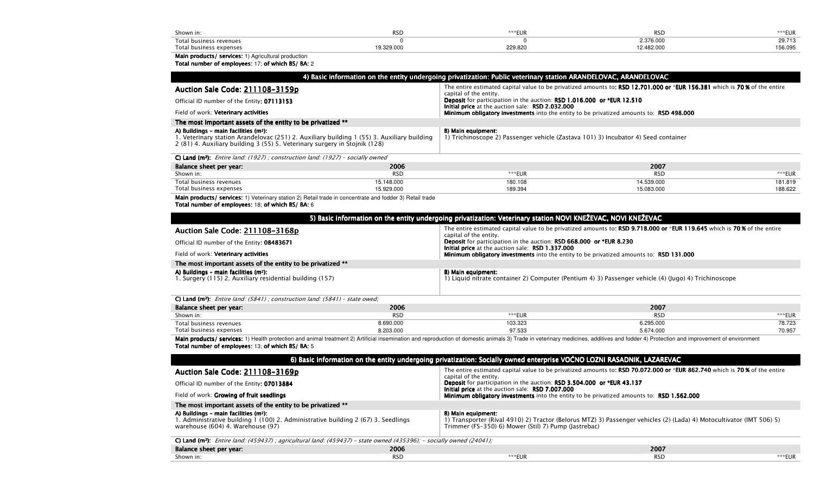| Shown in:               | <b>RSD</b> | ***EUR  | <b>DCP</b> | ***EUR  |
|-------------------------|------------|---------|------------|---------|
| Total business revenues |            |         | 2.376.000  | 29.713  |
| Total business expenses | 19.329.000 | 229.820 | 2.482.000  | 156.095 |

# Main products/ services: 1) Agricultural production<br>Total number of employees: 17; of which BS/ BA: 2

|                                                                                                                                                                                                                  |                          | 4) Basic information on the entity undergoing privatization: Public veterinary station ARANDELOVAC, ARANDELOVAC                                             |                                                                                                                                                                                                                                |                    |
|------------------------------------------------------------------------------------------------------------------------------------------------------------------------------------------------------------------|--------------------------|-------------------------------------------------------------------------------------------------------------------------------------------------------------|--------------------------------------------------------------------------------------------------------------------------------------------------------------------------------------------------------------------------------|--------------------|
| Auction Sale Code: 211108-3159p                                                                                                                                                                                  |                          | capital of the entity.                                                                                                                                      | The entire estimated capital value to be privatized amounts to: RSD 12.701.000 or *EUR 156.381 which is 70% of the entire                                                                                                      |                    |
| Official ID number of the Entity: 07113153                                                                                                                                                                       |                          | Deposit for participation in the auction: RSD 1.016.000 or *EUR 12.510                                                                                      |                                                                                                                                                                                                                                |                    |
| Field of work: Veterinary activities                                                                                                                                                                             |                          | Initial price at the auction sale: RSD 2.032.000<br>Minimum obligatory investments into the entity to be privatized amounts to: RSD 498.000                 |                                                                                                                                                                                                                                |                    |
| The most important assets of the entity to be privatized **                                                                                                                                                      |                          |                                                                                                                                                             |                                                                                                                                                                                                                                |                    |
| A) Buildings - main facilities (m2):<br>1. Veterinary station Arandelovac (251) 2. Auxiliary building 1 (55) 3. Auxiliary building<br>2 (81) 4. Auxiliary building 3 (55) 5. Veterinary surgery in Stojnik (128) |                          | <b>B) Main equipment:</b><br>1) Trichinoscope 2) Passenger vehicle (Zastava 101) 3) Incubator 4) Seed container                                             |                                                                                                                                                                                                                                |                    |
| C) Land ( $m^2$ ): <i>Entire land: (1927); construction land: (1927) - socially owned</i>                                                                                                                        |                          |                                                                                                                                                             |                                                                                                                                                                                                                                |                    |
| Balance sheet per year:                                                                                                                                                                                          | 2006                     |                                                                                                                                                             | 2007                                                                                                                                                                                                                           |                    |
| Shown in:                                                                                                                                                                                                        | <b>RSD</b>               | ***EUR                                                                                                                                                      | <b>RSD</b>                                                                                                                                                                                                                     | $***$ EUR          |
| Total business revenues<br>Total business expenses                                                                                                                                                               | 15.148.000<br>15.929.000 | 180.108<br>189.394                                                                                                                                          | 14.539.000<br>15.083.000                                                                                                                                                                                                       | 181.819<br>188.622 |
| Main products/ services: 1) Veterinary station 2) Retail trade in concentrate and fodder 3) Retail trade<br>Total number of employees: 18; of which BS/ BA: 6                                                    |                          |                                                                                                                                                             |                                                                                                                                                                                                                                |                    |
|                                                                                                                                                                                                                  |                          |                                                                                                                                                             |                                                                                                                                                                                                                                |                    |
|                                                                                                                                                                                                                  |                          | 5) Basic information on the entity undergoing privatization: Veterinary station NOVI KNEŽEVAC, NOVI KNEŽEVAC                                                |                                                                                                                                                                                                                                |                    |
| Auction Sale Code: 211108-3168p                                                                                                                                                                                  |                          | capital of the entity.                                                                                                                                      | The entire estimated capital value to be privatized amounts to: RSD 9.718.000 or *EUR 119.645 which is 70% of the entire                                                                                                       |                    |
| Official ID number of the Entity: 08483671                                                                                                                                                                       |                          | <b>Deposit</b> for participation in the auction: <b>RSD 668.000 or *EUR 8.230</b><br>Initial price at the auction sale: RSD 1.337.000                       |                                                                                                                                                                                                                                |                    |
| Field of work: Veterinary activities                                                                                                                                                                             |                          | <b>Minimum obligatory investments</b> into the entity to be privatized amounts to: RSD 131.000                                                              |                                                                                                                                                                                                                                |                    |
| The most important assets of the entity to be privatized **                                                                                                                                                      |                          |                                                                                                                                                             |                                                                                                                                                                                                                                |                    |
| A) Buildings - main facilities (m <sup>2</sup> ):<br>1. Surgery (115) 2. Auxiliary residential building (157)                                                                                                    |                          | B) Main equipment:                                                                                                                                          | 1) Liquid nitrate container 2) Computer (Pentium 4) 3) Passenger vehicle (4) (Jugo) 4) Trichinoscope                                                                                                                           |                    |
| C) Land ( $m^2$ ): Entire land: (5841); construction land: (5841) - state owed;                                                                                                                                  |                          |                                                                                                                                                             |                                                                                                                                                                                                                                |                    |
| Balance sheet per year:                                                                                                                                                                                          | 2006                     |                                                                                                                                                             | 2007                                                                                                                                                                                                                           |                    |
| Shown in:                                                                                                                                                                                                        | <b>RSD</b>               | ***EUR                                                                                                                                                      | <b>RSD</b>                                                                                                                                                                                                                     | ***EUR             |
| Total business revenues<br>Total business expenses                                                                                                                                                               | 8.690.000<br>8.203.000   | 103.323<br>97.533                                                                                                                                           | 6.295.000<br>5.674.000                                                                                                                                                                                                         | 78.723<br>70.957   |
| Total number of employees: 13; of which BS/ BA: 5                                                                                                                                                                |                          |                                                                                                                                                             | Main products/ services: 1) Health protection and animal treatment 2) Artificial insemination and reproduction of domestic animals 3) Trade in veterinary medicines, additives and fodder 4) Protection and improvement of env |                    |
|                                                                                                                                                                                                                  |                          | 6) Basic information on the entity undergoing privatization: Socially owned enterprise VOĆNO LOZNI RASADNIK, LAZAREVAC                                      |                                                                                                                                                                                                                                |                    |
| Auction Sale Code: 211108-3169p                                                                                                                                                                                  |                          |                                                                                                                                                             | The entire estimated capital value to be privatized amounts to: RSD 70.072.000 or *EUR 862.740 which is 70% of the entire                                                                                                      |                    |
| Official ID number of the Entity: 07013884                                                                                                                                                                       |                          | capital of the entity.<br><b>Deposit</b> for participation in the auction: <b>RSD 3.504.000 or *EUR 43.137</b>                                              |                                                                                                                                                                                                                                |                    |
| Field of work: Growing of fruit seedlings                                                                                                                                                                        |                          | Initial price at the auction sale: RSD 7.007.000<br><b>Minimum obligatory investments</b> into the entity to be privatized amounts to: <b>RSD 1.562.000</b> |                                                                                                                                                                                                                                |                    |
| The most important assets of the entity to be privatized **                                                                                                                                                      |                          |                                                                                                                                                             |                                                                                                                                                                                                                                |                    |
| A) Buildings - main facilities (m <sup>2</sup> ):<br>1. Administrative building 1 (100) 2. Administrative building 2 (67) 3. Seedlings<br>warehouse (604) 4. Warehouse (97)                                      |                          | B) Main equipment:<br>Trimmer (FS-350) 6) Mower (Stil) 7) Pump (Jastrebac)                                                                                  | 1) Transporter (Rival 4910) 2) Tractor (Belorus MTZ) 3) Passenger vehicles (2) (Lada) 4) Motocultivator (IMT 506) 5)                                                                                                           |                    |

 $C$ ) Land (m²):  $\:$  Entire land: (459437) ; agricultural land: (459437) – state owned (435396); – socially owned (24041);  $\:$ Balance sheet per year:per year:  $2007$ **RSD** Shown in:extending the contract of the contract of the contract of the contract of the contract of the contract of the contract of the contract of the contract of the contract of the contract of the contract of the contract of the D \*\*\*\*\*EUR \*\*\*\*EUR **RSD** \*\*\*\*EUR \*\*\*\*EUR **RSD**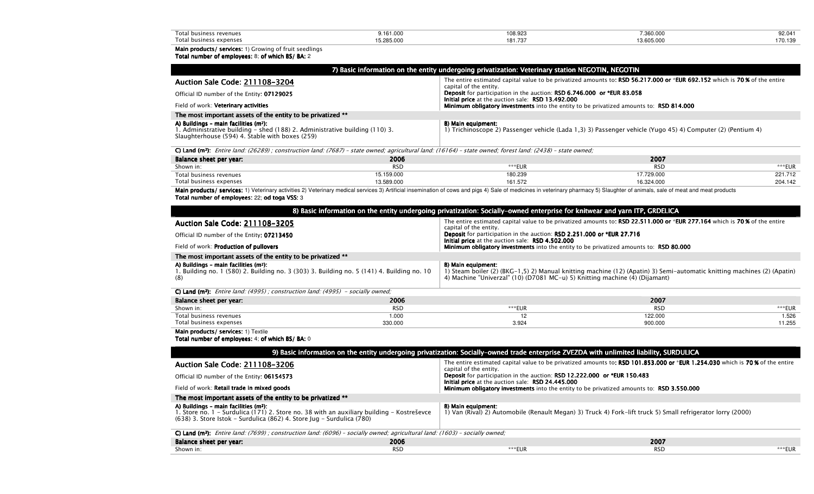| Total<br>s revenues<br>ness        | 9.161.000 | 108.92 | 360.000 | 00.044 |
|------------------------------------|-----------|--------|---------|--------|
| Total<br>, expense:<br>I NIICINACC | 5.00      | ان اقا |         | 1/0.1  |

# Main products/ services: 1) Growing of fruit seedlings<br>Total number of employees: 8; of which BS/ BA: 2

| 7) Basic information on the entity undergoing privatization: Veterinary station NEGOTIN, NEGOTIN                                                                                    |                                                                                                                                                     |  |  |  |
|-------------------------------------------------------------------------------------------------------------------------------------------------------------------------------------|-----------------------------------------------------------------------------------------------------------------------------------------------------|--|--|--|
| Auction Sale Code: 211108-3204                                                                                                                                                      | The entire estimated capital value to be privatized amounts to: RSD 56.217.000 or *EUR 692.152 which is 70% of the entire<br>capital of the entity. |  |  |  |
| Official ID number of the Entity: 07129025                                                                                                                                          | Deposit for participation in the auction: RSD 6.746.000 or *EUR 83.058<br>Initial price at the auction sale: RSD 13.492.000                         |  |  |  |
| Field of work: Veterinary activities                                                                                                                                                | Minimum obligatory investments into the entity to be privatized amounts to: RSD 814.000                                                             |  |  |  |
| The most important assets of the entity to be privatized **                                                                                                                         |                                                                                                                                                     |  |  |  |
| A) Buildings - main facilities (m <sup>2</sup> ):<br>1. Administrative building – shed (188) 2. Administrative building (110) 3.<br>Slaughterhouse (594) 4. Stable with boxes (259) | B) Main equipment:<br>1) Trichinoscope 2) Passenger vehicle (Lada 1,3) 3) Passenger vehicle (Yugo 45) 4) Computer (2) (Pentium 4)                   |  |  |  |

**C) Land (m²):** Entire land: (26289) ; construction land: (7687) – state owned; agricultural land: (16164) – state owned; forest land: (2438) – state owned;

| Balance sheet per year: | 2006       |         | 2007       |         |
|-------------------------|------------|---------|------------|---------|
| Shown in:               | <b>RSC</b> | ***EUR  | <b>RSC</b> | ***EUR  |
| Total business revenues | 15.159.000 | 180.239 | 7.729.000  | 221.712 |
| Total business expenses | 13.589.000 | 161.572 | 16.324.000 | 204.142 |

Main products/ services: 1) Veterinary activities 2) Veterinary medical services 3) Artificial insemination of cows and pigs 4) Sale of medicines in veterinary pharmacy 5) Slaughter of animals, sale of meat and meat produc Total number of employees: 22; od toga VSS: 3

|                                                                                                                                                                                                            |                    | 8) Basic information on the entity undergoing privatization: Socially-owned enterprise for knitwear and yarn ITP, GRDELICA                               |                                                                                                                              |                 |
|------------------------------------------------------------------------------------------------------------------------------------------------------------------------------------------------------------|--------------------|----------------------------------------------------------------------------------------------------------------------------------------------------------|------------------------------------------------------------------------------------------------------------------------------|-----------------|
| Auction Sale Code: 211108-3205                                                                                                                                                                             |                    | The entire estimated capital value to be privatized amounts to: RSD 22.511.000 or *EUR 277.164 which is 70% of the entire<br>capital of the entity.      |                                                                                                                              |                 |
| Official ID number of the Entity: 07213450                                                                                                                                                                 |                    | Deposit for participation in the auction: RSD 2.251.000 or *EUR 27.716                                                                                   |                                                                                                                              |                 |
| Field of work: Production of pullovers                                                                                                                                                                     |                    | Initial price at the auction sale: RSD 4.502.000<br><b>Minimum obligatory investments</b> into the entity to be privatized amounts to: <b>RSD 80.000</b> |                                                                                                                              |                 |
| The most important assets of the entity to be privatized **                                                                                                                                                |                    |                                                                                                                                                          |                                                                                                                              |                 |
| A) Buildings - main facilities (m <sup>2</sup> ):<br>1. Building no. 1 (580) 2. Building no. 3 (303) 3. Building no. 5 (141) 4. Building no. 10<br>(8)                                                     |                    | B) Main equipment:<br>4) Machine "Univerzal" (10) (D7081 MC-u) 5) Knitting machine (4) (Dijamant)                                                        | 1) Steam boiler (2) (BKG-1,5) 2) Manual knitting machine (12) (Apatin) 3) Semi-automatic knitting machines (2) (Apatin)      |                 |
| C) Land (m <sup>2</sup> ); <i>Entire land:</i> (4995); <i>construction land:</i> (4995) - socially owned;                                                                                                  |                    |                                                                                                                                                          |                                                                                                                              |                 |
| Balance sheet per year:                                                                                                                                                                                    | 2006               |                                                                                                                                                          | 2007                                                                                                                         |                 |
| Shown in:                                                                                                                                                                                                  | <b>RSD</b>         | ***EUR                                                                                                                                                   | <b>RSD</b>                                                                                                                   | ***EUR          |
| Total business revenues<br>Total business expenses                                                                                                                                                         | 1.000<br>330.000   | 12<br>3.924                                                                                                                                              | 122.000<br>900.000                                                                                                           | 1.526<br>11.255 |
| Main products/ services: 1) Textile<br>Total number of employees: 4: of which BS/ BA: 0                                                                                                                    |                    |                                                                                                                                                          |                                                                                                                              |                 |
|                                                                                                                                                                                                            |                    | 9) Basic information on the entity undergoing privatization: Socially-owned trade enterprise ZVEZDA with unlimited liability, SURDULICA                  |                                                                                                                              |                 |
| Auction Sale Code: 211108-3206                                                                                                                                                                             |                    | capital of the entity.                                                                                                                                   | The entire estimated capital value to be privatized amounts to: RSD 101.853.000 or *EUR 1.254.030 which is 70% of the entire |                 |
| Official ID number of the Entity: 06154573                                                                                                                                                                 |                    | Deposit for participation in the auction: RSD 12.222.000 or *EUR 150.483                                                                                 |                                                                                                                              |                 |
|                                                                                                                                                                                                            |                    | Initial price at the auction sale: RSD 24.445.000<br>Minimum obligatory investments into the entity to be privatized amounts to: RSD 3.550.000           |                                                                                                                              |                 |
| Field of work: Retail trade in mixed goods                                                                                                                                                                 |                    |                                                                                                                                                          |                                                                                                                              |                 |
| The most important assets of the entity to be privatized **                                                                                                                                                |                    |                                                                                                                                                          |                                                                                                                              |                 |
| A) Buildings - main facilities (m2):<br>1. Store no. 1 - Surdulica (171) 2. Store no. 38 with an auxiliary building - Kostreševce<br>(638) 3. Store Istok - Surdulica (862) 4. Store Jug - Surdulica (780) |                    | B) Main equipment:                                                                                                                                       | 1) Van (Rival) 2) Automobile (Renault Megan) 3) Truck 4) Fork-lift truck 5) Small refrigerator lorry (2000)                  |                 |
| C) Land (m <sup>2</sup> ): Entire land: (7699); construction land: (6096) - socially owned; agricultural land: (1603) - socially owned;                                                                    |                    |                                                                                                                                                          |                                                                                                                              |                 |
| Balance sheet per year:<br>Shown in:                                                                                                                                                                       | 2006<br><b>RSD</b> | ***EUR                                                                                                                                                   | 2007<br><b>RSD</b>                                                                                                           | ***EUR          |